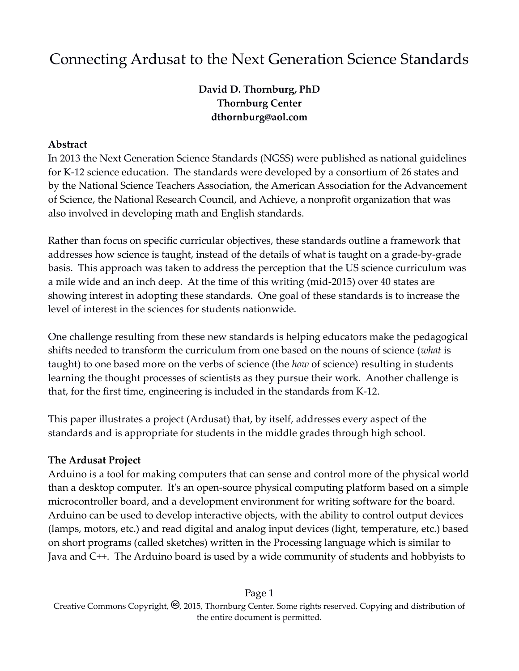# Connecting Ardusat to the Next Generation Science Standards

## **David D. Thornburg, PhD Thornburg Center dthornburg@aol.com**

#### **Abstract**

In 2013 the Next Generation Science Standards (NGSS) were published as national guidelines for K-12 science education. The standards were developed by a consortium of 26 states and by the [National Science Teachers Association,](https://en.wikipedia.org/wiki/National_Science_Teachers_Association) the [American Association for the Advancement](https://en.wikipedia.org/wiki/American_Association_for_the_Advancement_of_Science)  [of Science,](https://en.wikipedia.org/wiki/American_Association_for_the_Advancement_of_Science) the [National Research Council,](https://en.wikipedia.org/wiki/United_States_National_Research_Council) and Achieve, a nonprofit organization that was also involved in developing math and English standards.

Rather than focus on specific curricular objectives, these standards outline a framework that addresses how science is taught, instead of the details of what is taught on a grade-by-grade basis. This approach was taken to address the perception that the US science curriculum was a mile wide and an inch deep. At the time of this writing (mid-2015) over 40 states are showing interest in adopting these standards. One goal of these standards is to increase the level of interest in the sciences for students nationwide.

One challenge resulting from these new standards is helping educators make the pedagogical shifts needed to transform the curriculum from one based on the nouns of science (*what* is taught) to one based more on the verbs of science (the *how* of science) resulting in students learning the thought processes of scientists as they pursue their work. Another challenge is that, for the first time, engineering is included in the standards from K-12.

This paper illustrates a project (Ardusat) that, by itself, addresses every aspect of the standards and is appropriate for students in the middle grades through high school.

### **The Ardusat Project**

Arduino is a tool for making computers that can sense and control more of the physical world than a desktop computer. It's an open-source physical computing platform based on a simple microcontroller board, and a development environment for writing software for the board. Arduino can be used to develop interactive objects, with the ability to control output devices (lamps, motors, etc.) and read digital and analog input devices (light, temperature, etc.) based on short programs (called sketches) written in the Processing language which is similar to Java and C++. The Arduino board is used by a wide community of students and hobbyists to

Page 1 Creative Commons Copyright,  $\Theta$ , 2015, Thornburg Center. Some rights reserved. Copying and distribution of the entire document is permitted.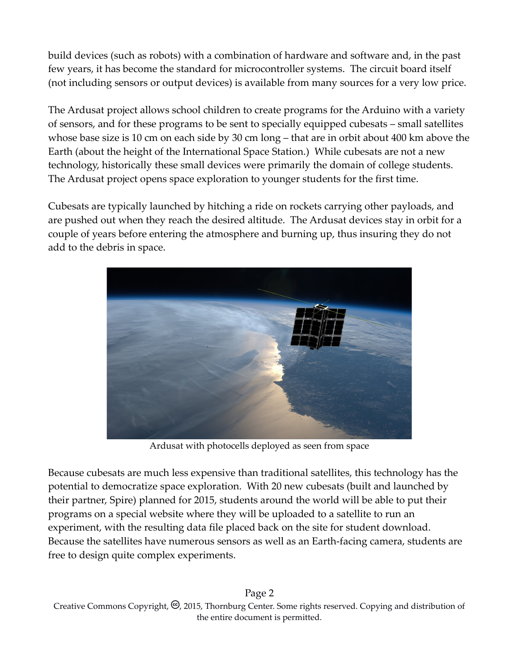build devices (such as robots) with a combination of hardware and software and, in the past few years, it has become the standard for microcontroller systems. The circuit board itself (not including sensors or output devices) is available from many sources for a very low price.

The Ardusat project allows school children to create programs for the Arduino with a variety of sensors, and for these programs to be sent to specially equipped cubesats – small satellites whose base size is 10 cm on each side by 30 cm long – that are in orbit about 400 km above the Earth (about the height of the International Space Station.) While cubesats are not a new technology, historically these small devices were primarily the domain of college students. The Ardusat project opens space exploration to younger students for the first time.

Cubesats are typically launched by hitching a ride on rockets carrying other payloads, and are pushed out when they reach the desired altitude. The Ardusat devices stay in orbit for a couple of years before entering the atmosphere and burning up, thus insuring they do not add to the debris in space.



Ardusat with photocells deployed as seen from space

Because cubesats are much less expensive than traditional satellites, this technology has the potential to democratize space exploration. With 20 new cubesats (built and launched by their partner, Spire) planned for 2015, students around the world will be able to put their programs on a special website where they will be uploaded to a satellite to run an experiment, with the resulting data file placed back on the site for student download. Because the satellites have numerous sensors as well as an Earth-facing camera, students are free to design quite complex experiments.

Page 2 Creative Commons Copyright,  $\Theta$ , 2015, Thornburg Center. Some rights reserved. Copying and distribution of the entire document is permitted.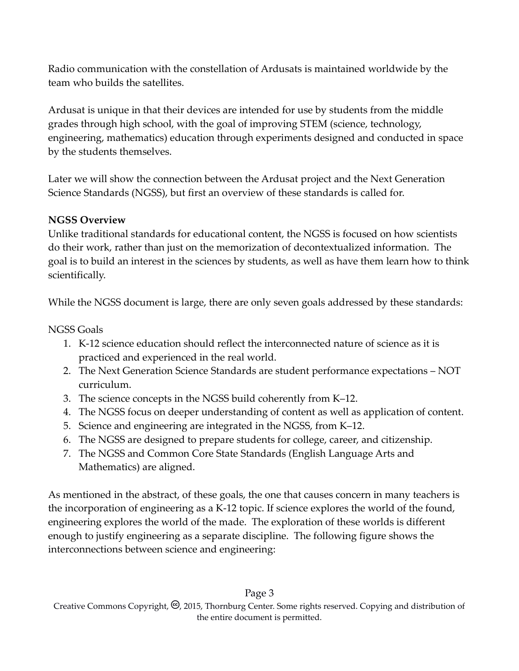Radio communication with the constellation of Ardusats is maintained worldwide by the team who builds the satellites.

Ardusat is unique in that their devices are intended for use by students from the middle grades through high school, with the goal of improving STEM (science, technology, engineering, mathematics) education through experiments designed and conducted in space by the students themselves.

Later we will show the connection between the Ardusat project and the Next Generation Science Standards (NGSS), but first an overview of these standards is called for.

## **NGSS Overview**

Unlike traditional standards for educational content, the NGSS is focused on how scientists do their work, rather than just on the memorization of decontextualized information. The goal is to build an interest in the sciences by students, as well as have them learn how to think scientifically.

While the NGSS document is large, there are only seven goals addressed by these standards:

## NGSS Goals

- 1. K-12 science education should reflect the interconnected nature of science as it is practiced and experienced in the real world.
- 2. The Next Generation Science Standards are student performance expectations NOT curriculum.
- 3. The science concepts in the NGSS build coherently from K–12.
- 4. The NGSS focus on deeper understanding of content as well as application of content.
- 5. Science and engineering are integrated in the NGSS, from K–12.
- 6. The NGSS are designed to prepare students for college, career, and citizenship.
- 7. The NGSS and Common Core State Standards (English Language Arts and Mathematics) are aligned.

As mentioned in the abstract, of these goals, the one that causes concern in many teachers is the incorporation of engineering as a K-12 topic. If science explores the world of the found, engineering explores the world of the made. The exploration of these worlds is different enough to justify engineering as a separate discipline. The following figure shows the interconnections between science and engineering:

#### Page 3 Creative Commons Copyright,  $\Theta$ , 2015, Thornburg Center. Some rights reserved. Copying and distribution of the entire document is permitted.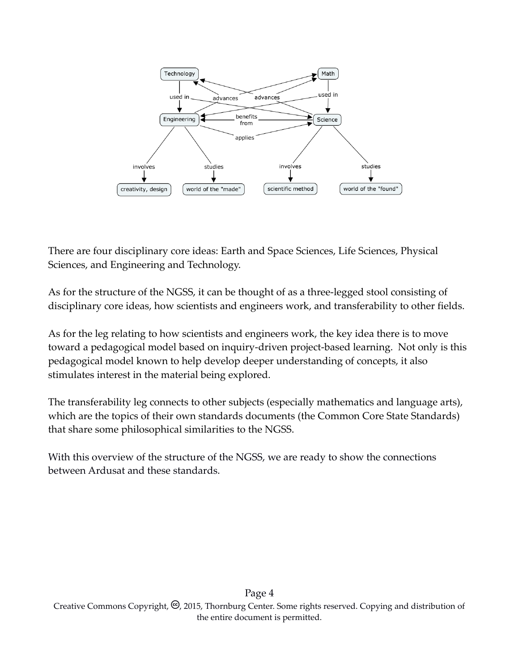

There are four disciplinary core ideas: Earth and Space Sciences, Life Sciences, Physical Sciences, and Engineering and Technology.

As for the structure of the NGSS, it can be thought of as a three-legged stool consisting of disciplinary core ideas, how scientists and engineers work, and transferability to other fields.

As for the leg relating to how scientists and engineers work, the key idea there is to move toward a pedagogical model based on inquiry-driven project-based learning. Not only is this pedagogical model known to help develop deeper understanding of concepts, it also stimulates interest in the material being explored.

The transferability leg connects to other subjects (especially mathematics and language arts), which are the topics of their own standards documents (the Common Core State Standards) that share some philosophical similarities to the NGSS.

With this overview of the structure of the NGSS, we are ready to show the connections between Ardusat and these standards.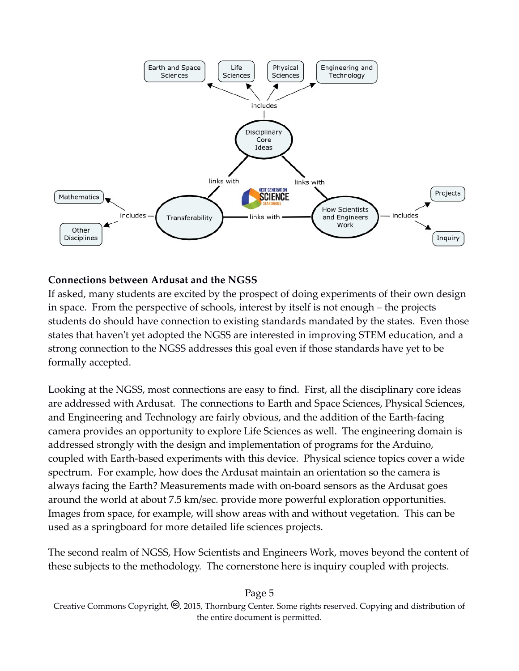

### **Connections between Ardusat and the NGSS**

If asked, many students are excited by the prospect of doing experiments of their own design in space. From the perspective of schools, interest by itself is not enough – the projects students do should have connection to existing standards mandated by the states. Even those states that haven't yet adopted the NGSS are interested in improving STEM education, and a strong connection to the NGSS addresses this goal even if those standards have yet to be formally accepted.

Looking at the NGSS, most connections are easy to find. First, all the disciplinary core ideas are addressed with Ardusat. The connections to Earth and Space Sciences, Physical Sciences, and Engineering and Technology are fairly obvious, and the addition of the Earth-facing camera provides an opportunity to explore Life Sciences as well. The engineering domain is addressed strongly with the design and implementation of programs for the Arduino, coupled with Earth-based experiments with this device. Physical science topics cover a wide spectrum. For example, how does the Ardusat maintain an orientation so the camera is always facing the Earth? Measurements made with on-board sensors as the Ardusat goes around the world at about 7.5 km/sec. provide more powerful exploration opportunities. Images from space, for example, will show areas with and without vegetation. This can be used as a springboard for more detailed life sciences projects.

The second realm of NGSS, How Scientists and Engineers Work, moves beyond the content of these subjects to the methodology. The cornerstone here is inquiry coupled with projects.

Creative Commons Copyright,  $\mathcal{O}$ , 2015, Thornburg Center. Some rights reserved. Copying and distribution of the entire document is permitted.

#### Page 5